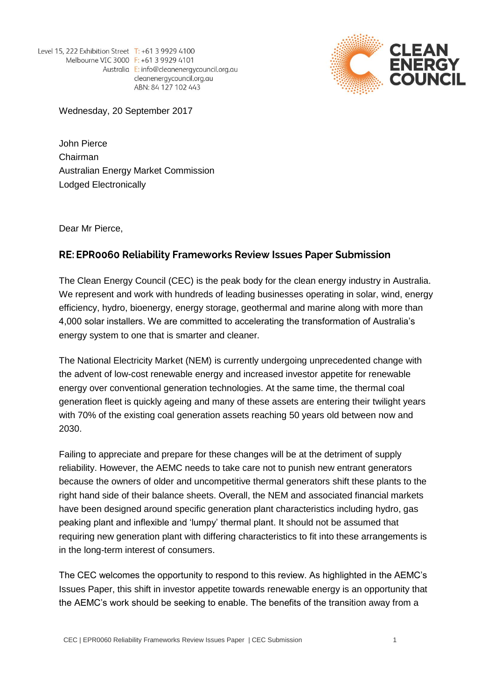Level 15, 222 Exhibition Street T: +61 3 9929 4100 Melbourne VIC 3000 F: +61 3 9929 4101 Australia E: info@cleanenergycouncil.org.au cleanenergycouncil.org.au ABN: 84 127 102 443



Wednesday, 20 September 2017

John Pierce Chairman Australian Energy Market Commission Lodged Electronically

Dear Mr Pierce,

## RE: EPR0060 Reliability Frameworks Review Issues Paper Submission

The Clean Energy Council (CEC) is the peak body for the clean energy industry in Australia. We represent and work with hundreds of leading businesses operating in solar, wind, energy efficiency, hydro, bioenergy, energy storage, geothermal and marine along with more than 4,000 solar installers. We are committed to accelerating the transformation of Australia's energy system to one that is smarter and cleaner.

The National Electricity Market (NEM) is currently undergoing unprecedented change with the advent of low-cost renewable energy and increased investor appetite for renewable energy over conventional generation technologies. At the same time, the thermal coal generation fleet is quickly ageing and many of these assets are entering their twilight years with 70% of the existing coal generation assets reaching 50 years old between now and 2030.

Failing to appreciate and prepare for these changes will be at the detriment of supply reliability. However, the AEMC needs to take care not to punish new entrant generators because the owners of older and uncompetitive thermal generators shift these plants to the right hand side of their balance sheets. Overall, the NEM and associated financial markets have been designed around specific generation plant characteristics including hydro, gas peaking plant and inflexible and 'lumpy' thermal plant. It should not be assumed that requiring new generation plant with differing characteristics to fit into these arrangements is in the long-term interest of consumers.

The CEC welcomes the opportunity to respond to this review. As highlighted in the AEMC's Issues Paper, this shift in investor appetite towards renewable energy is an opportunity that the AEMC's work should be seeking to enable. The benefits of the transition away from a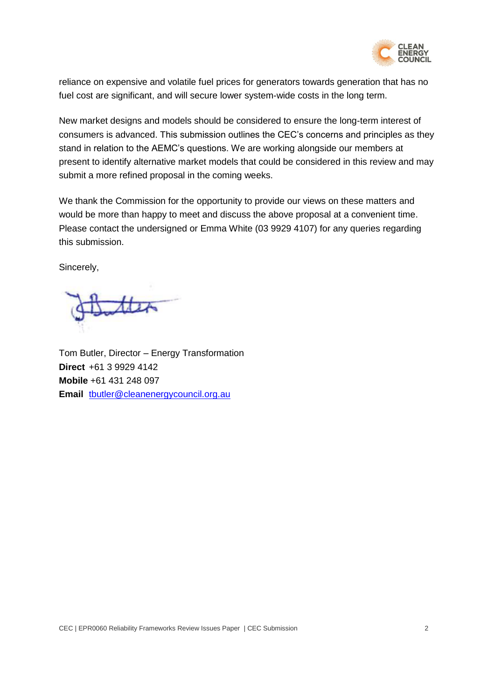

reliance on expensive and volatile fuel prices for generators towards generation that has no fuel cost are significant, and will secure lower system-wide costs in the long term.

New market designs and models should be considered to ensure the long-term interest of consumers is advanced. This submission outlines the CEC's concerns and principles as they stand in relation to the AEMC's questions. We are working alongside our members at present to identify alternative market models that could be considered in this review and may submit a more refined proposal in the coming weeks.

We thank the Commission for the opportunity to provide our views on these matters and would be more than happy to meet and discuss the above proposal at a convenient time. Please contact the undersigned or Emma White (03 9929 4107) for any queries regarding this submission.

Sincerely,

Tom Butler, Director – Energy Transformation **Direct** +61 3 9929 4142 **Mobile** +61 431 248 097 **Email** [tbutler@cleanenergycouncil.org.au](mailto:tbutler@cleanenergycouncil.org.au)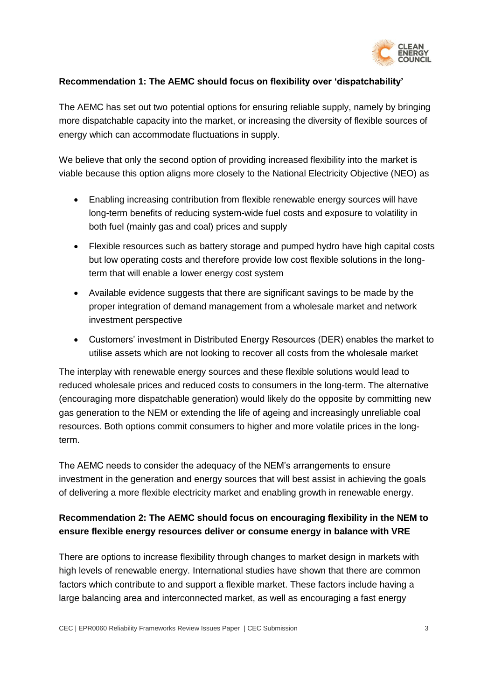

#### **Recommendation 1: The AEMC should focus on flexibility over 'dispatchability'**

The AEMC has set out two potential options for ensuring reliable supply, namely by bringing more dispatchable capacity into the market, or increasing the diversity of flexible sources of energy which can accommodate fluctuations in supply.

We believe that only the second option of providing increased flexibility into the market is viable because this option aligns more closely to the National Electricity Objective (NEO) as

- Enabling increasing contribution from flexible renewable energy sources will have long-term benefits of reducing system-wide fuel costs and exposure to volatility in both fuel (mainly gas and coal) prices and supply
- Flexible resources such as battery storage and pumped hydro have high capital costs but low operating costs and therefore provide low cost flexible solutions in the longterm that will enable a lower energy cost system
- Available evidence suggests that there are significant savings to be made by the proper integration of demand management from a wholesale market and network investment perspective
- Customers' investment in Distributed Energy Resources (DER) enables the market to utilise assets which are not looking to recover all costs from the wholesale market

The interplay with renewable energy sources and these flexible solutions would lead to reduced wholesale prices and reduced costs to consumers in the long-term. The alternative (encouraging more dispatchable generation) would likely do the opposite by committing new gas generation to the NEM or extending the life of ageing and increasingly unreliable coal resources. Both options commit consumers to higher and more volatile prices in the longterm.

The AEMC needs to consider the adequacy of the NEM's arrangements to ensure investment in the generation and energy sources that will best assist in achieving the goals of delivering a more flexible electricity market and enabling growth in renewable energy.

## **Recommendation 2: The AEMC should focus on encouraging flexibility in the NEM to ensure flexible energy resources deliver or consume energy in balance with VRE**

There are options to increase flexibility through changes to market design in markets with high levels of renewable energy. International studies have shown that there are common factors which contribute to and support a flexible market. These factors include having a large balancing area and interconnected market, as well as encouraging a fast energy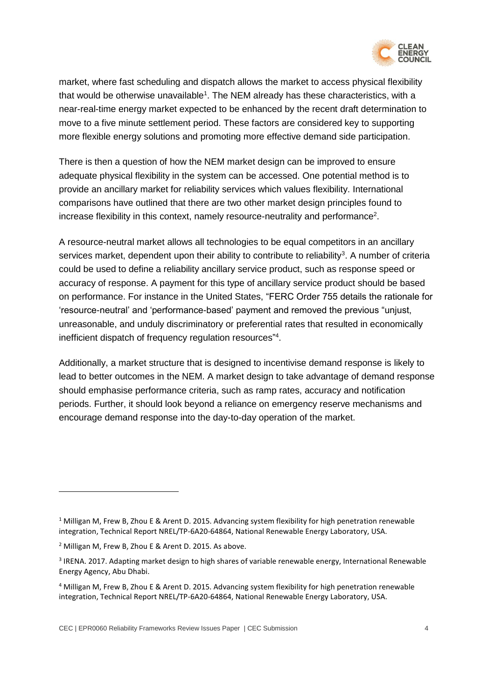

market, where fast scheduling and dispatch allows the market to access physical flexibility that would be otherwise unavailable<sup>1</sup>. The NEM already has these characteristics, with a near-real-time energy market expected to be enhanced by the recent draft determination to move to a five minute settlement period. These factors are considered key to supporting more flexible energy solutions and promoting more effective demand side participation.

There is then a question of how the NEM market design can be improved to ensure adequate physical flexibility in the system can be accessed. One potential method is to provide an ancillary market for reliability services which values flexibility. International comparisons have outlined that there are two other market design principles found to increase flexibility in this context, namely resource-neutrality and performance<sup>2</sup>.

A resource-neutral market allows all technologies to be equal competitors in an ancillary services market, dependent upon their ability to contribute to reliability<sup>3</sup>. A number of criteria could be used to define a reliability ancillary service product, such as response speed or accuracy of response. A payment for this type of ancillary service product should be based on performance. For instance in the United States, "FERC Order 755 details the rationale for 'resource-neutral' and 'performance-based' payment and removed the previous "unjust, unreasonable, and unduly discriminatory or preferential rates that resulted in economically inefficient dispatch of frequency regulation resources"<sup>4</sup>.

Additionally, a market structure that is designed to incentivise demand response is likely to lead to better outcomes in the NEM. A market design to take advantage of demand response should emphasise performance criteria, such as ramp rates, accuracy and notification periods. Further, it should look beyond a reliance on emergency reserve mechanisms and encourage demand response into the day-to-day operation of the market.

 $\overline{a}$ 

<sup>&</sup>lt;sup>1</sup> Milligan M, Frew B, Zhou E & Arent D. 2015. Advancing system flexibility for high penetration renewable integration, Technical Report NREL/TP-6A20-64864, National Renewable Energy Laboratory, USA.

<sup>2</sup> Milligan M, Frew B, Zhou E & Arent D. 2015. As above.

<sup>3</sup> IRENA. 2017. Adapting market design to high shares of variable renewable energy, International Renewable Energy Agency, Abu Dhabi.

<sup>4</sup> Milligan M, Frew B, Zhou E & Arent D. 2015. Advancing system flexibility for high penetration renewable integration, Technical Report NREL/TP-6A20-64864, National Renewable Energy Laboratory, USA.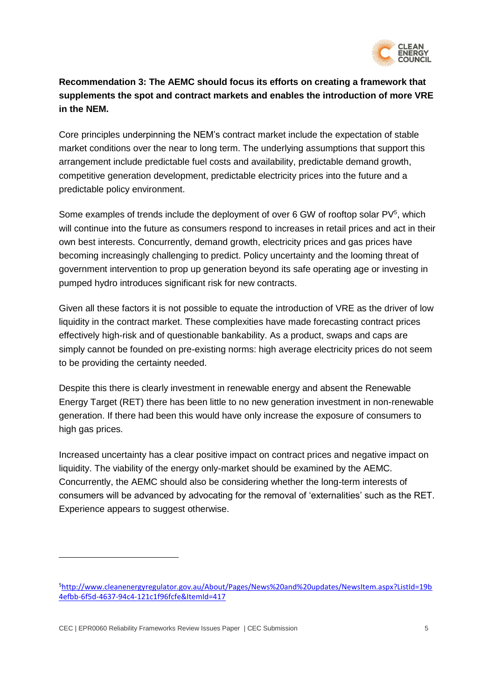

## **Recommendation 3: The AEMC should focus its efforts on creating a framework that supplements the spot and contract markets and enables the introduction of more VRE in the NEM.**

Core principles underpinning the NEM's contract market include the expectation of stable market conditions over the near to long term. The underlying assumptions that support this arrangement include predictable fuel costs and availability, predictable demand growth, competitive generation development, predictable electricity prices into the future and a predictable policy environment.

Some examples of trends include the deployment of over 6 GW of rooftop solar PV<sup>5</sup>, which will continue into the future as consumers respond to increases in retail prices and act in their own best interests. Concurrently, demand growth, electricity prices and gas prices have becoming increasingly challenging to predict. Policy uncertainty and the looming threat of government intervention to prop up generation beyond its safe operating age or investing in pumped hydro introduces significant risk for new contracts.

Given all these factors it is not possible to equate the introduction of VRE as the driver of low liquidity in the contract market. These complexities have made forecasting contract prices effectively high-risk and of questionable bankability. As a product, swaps and caps are simply cannot be founded on pre-existing norms: high average electricity prices do not seem to be providing the certainty needed.

Despite this there is clearly investment in renewable energy and absent the Renewable Energy Target (RET) there has been little to no new generation investment in non-renewable generation. If there had been this would have only increase the exposure of consumers to high gas prices.

Increased uncertainty has a clear positive impact on contract prices and negative impact on liquidity. The viability of the energy only-market should be examined by the AEMC. Concurrently, the AEMC should also be considering whether the long-term interests of consumers will be advanced by advocating for the removal of 'externalities' such as the RET. Experience appears to suggest otherwise.

CEC | EPR0060 Reliability Frameworks Review Issues Paper | CEC Submission 5

 $\overline{a}$ 

<sup>5</sup>[http://www.cleanenergyregulator.gov.au/About/Pages/News%20and%20updates/NewsItem.aspx?ListId=19b](http://www.cleanenergyregulator.gov.au/About/Pages/News%20and%20updates/NewsItem.aspx?ListId=19b4efbb-6f5d-4637-94c4-121c1f96fcfe&ItemId=417) [4efbb-6f5d-4637-94c4-121c1f96fcfe&ItemId=417](http://www.cleanenergyregulator.gov.au/About/Pages/News%20and%20updates/NewsItem.aspx?ListId=19b4efbb-6f5d-4637-94c4-121c1f96fcfe&ItemId=417)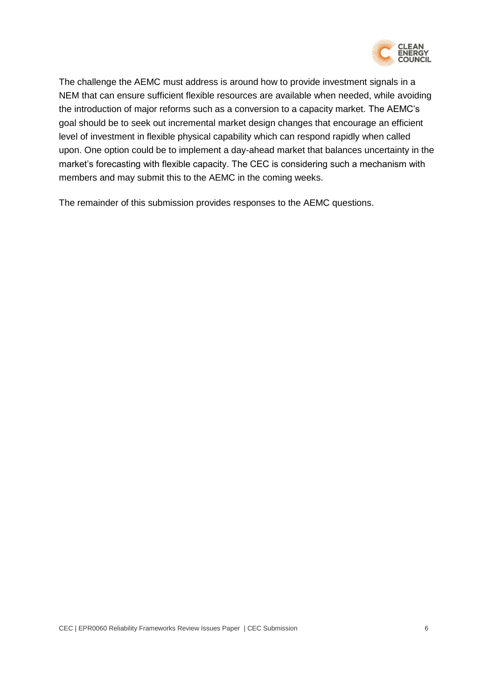

The challenge the AEMC must address is around how to provide investment signals in a NEM that can ensure sufficient flexible resources are available when needed, while avoiding the introduction of major reforms such as a conversion to a capacity market. The AEMC's goal should be to seek out incremental market design changes that encourage an efficient level of investment in flexible physical capability which can respond rapidly when called upon. One option could be to implement a day-ahead market that balances uncertainty in the market's forecasting with flexible capacity. The CEC is considering such a mechanism with members and may submit this to the AEMC in the coming weeks.

The remainder of this submission provides responses to the AEMC questions.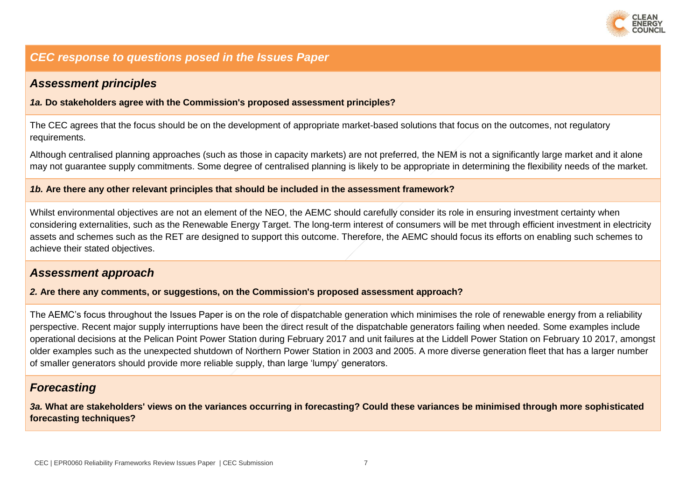

## *CEC response to questions posed in the Issues Paper*

## *Assessment principles*

*1a.* **Do stakeholders agree with the Commission's proposed assessment principles?** 

The CEC agrees that the focus should be on the development of appropriate market-based solutions that focus on the outcomes, not regulatory requirements.

Although centralised planning approaches (such as those in capacity markets) are not preferred, the NEM is not a significantly large market and it alone may not guarantee supply commitments. Some degree of centralised planning is likely to be appropriate in determining the flexibility needs of the market.

#### *1b.* **Are there any other relevant principles that should be included in the assessment framework?**

Whilst environmental objectives are not an element of the NEO, the AEMC should carefully consider its role in ensuring investment certainty when considering externalities, such as the Renewable Energy Target. The long-term interest of consumers will be met through efficient investment in electricity assets and schemes such as the RET are designed to support this outcome. Therefore, the AEMC should focus its efforts on enabling such schemes to achieve their stated objectives.

## *Assessment approach*

#### *2.* **Are there any comments, or suggestions, on the Commission's proposed assessment approach?**

The AEMC's focus throughout the Issues Paper is on the role of dispatchable generation which minimises the role of renewable energy from a reliability perspective. Recent major supply interruptions have been the direct result of the dispatchable generators failing when needed. Some examples include operational decisions at the Pelican Point Power Station during February 2017 and unit failures at the Liddell Power Station on February 10 2017, amongst older examples such as the unexpected shutdown of Northern Power Station in 2003 and 2005. A more diverse generation fleet that has a larger number of smaller generators should provide more reliable supply, than large 'lumpy' generators.

## *Forecasting*

*3a.* **What are stakeholders' views on the variances occurring in forecasting? Could these variances be minimised through more sophisticated forecasting techniques?**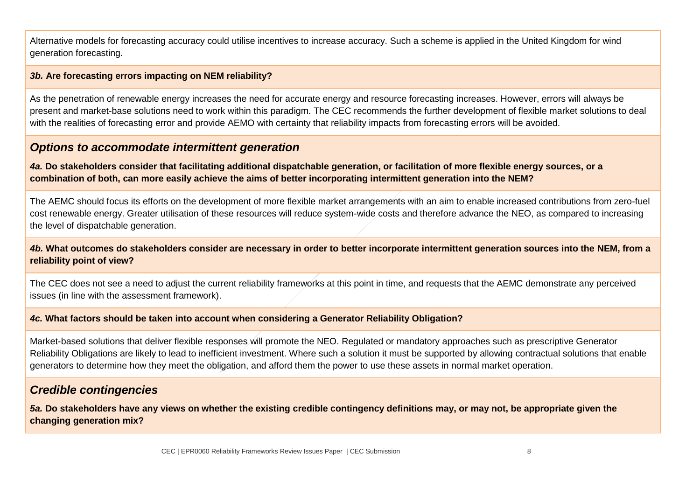Alternative models for forecasting accuracy could utilise incentives to increase accuracy. Such a scheme is applied in the United Kingdom for wind generation forecasting.

#### *3b.* **Are forecasting errors impacting on NEM reliability?**

As the penetration of renewable energy increases the need for accurate energy and resource forecasting increases. However, errors will always be present and market-base solutions need to work within this paradigm. The CEC recommends the further development of flexible market solutions to deal with the realities of forecasting error and provide AEMO with certainty that reliability impacts from forecasting errors will be avoided.

## *Options to accommodate intermittent generation*

*4a.* **Do stakeholders consider that facilitating additional dispatchable generation, or facilitation of more flexible energy sources, or a combination of both, can more easily achieve the aims of better incorporating intermittent generation into the NEM?** 

The AEMC should focus its efforts on the development of more flexible market arrangements with an aim to enable increased contributions from zero-fuel cost renewable energy. Greater utilisation of these resources will reduce system-wide costs and therefore advance the NEO, as compared to increasing the level of dispatchable generation.

#### *4b.* **What outcomes do stakeholders consider are necessary in order to better incorporate intermittent generation sources into the NEM, from a reliability point of view?**

The CEC does not see a need to adjust the current reliability frameworks at this point in time, and requests that the AEMC demonstrate any perceived issues (in line with the assessment framework).

#### *4c.* **What factors should be taken into account when considering a Generator Reliability Obligation?**

Market-based solutions that deliver flexible responses will promote the NEO. Regulated or mandatory approaches such as prescriptive Generator Reliability Obligations are likely to lead to inefficient investment. Where such a solution it must be supported by allowing contractual solutions that enable generators to determine how they meet the obligation, and afford them the power to use these assets in normal market operation.

## *Credible contingencies*

*5a.* **Do stakeholders have any views on whether the existing credible contingency definitions may, or may not, be appropriate given the changing generation mix?**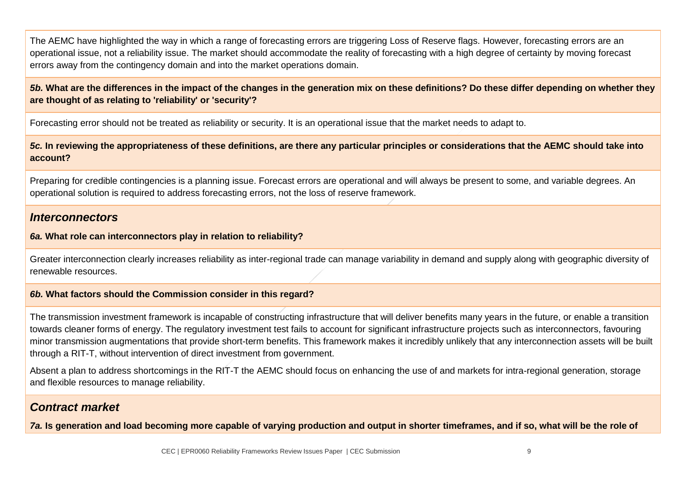The AEMC have highlighted the way in which a range of forecasting errors are triggering Loss of Reserve flags. However, forecasting errors are an operational issue, not a reliability issue. The market should accommodate the reality of forecasting with a high degree of certainty by moving forecast errors away from the contingency domain and into the market operations domain.

*5b.* **What are the differences in the impact of the changes in the generation mix on these definitions? Do these differ depending on whether they are thought of as relating to 'reliability' or 'security'?**

Forecasting error should not be treated as reliability or security. It is an operational issue that the market needs to adapt to.

*5c.* **In reviewing the appropriateness of these definitions, are there any particular principles or considerations that the AEMC should take into account?**

Preparing for credible contingencies is a planning issue. Forecast errors are operational and will always be present to some, and variable degrees. An operational solution is required to address forecasting errors, not the loss of reserve framework.

## *Interconnectors*

## *6a.* **What role can interconnectors play in relation to reliability?**

Greater interconnection clearly increases reliability as inter-regional trade can manage variability in demand and supply along with geographic diversity of renewable resources.

#### *6b.* **What factors should the Commission consider in this regard?**

The transmission investment framework is incapable of constructing infrastructure that will deliver benefits many years in the future, or enable a transition towards cleaner forms of energy. The regulatory investment test fails to account for significant infrastructure projects such as interconnectors, favouring minor transmission augmentations that provide short-term benefits. This framework makes it incredibly unlikely that any interconnection assets will be built through a RIT-T, without intervention of direct investment from government.

Absent a plan to address shortcomings in the RIT-T the AEMC should focus on enhancing the use of and markets for intra-regional generation, storage and flexible resources to manage reliability.

## *Contract market*

*7a.* **Is generation and load becoming more capable of varying production and output in shorter timeframes, and if so, what will be the role of**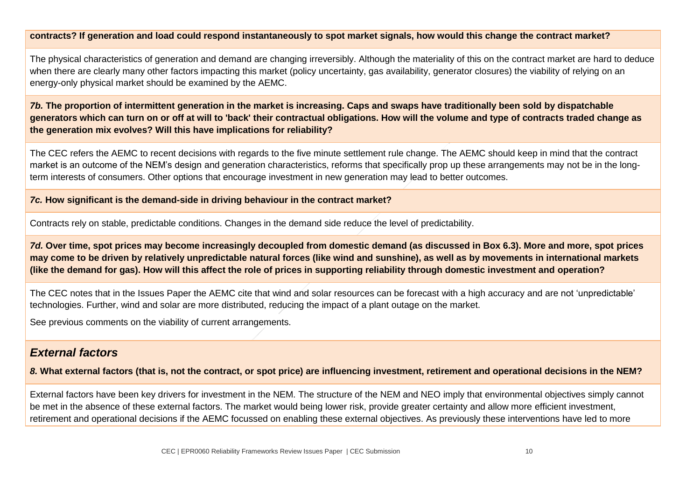#### **contracts? If generation and load could respond instantaneously to spot market signals, how would this change the contract market?**

The physical characteristics of generation and demand are changing irreversibly. Although the materiality of this on the contract market are hard to deduce when there are clearly many other factors impacting this market (policy uncertainty, gas availability, generator closures) the viability of relying on an energy-only physical market should be examined by the AEMC.

*7b.* **The proportion of intermittent generation in the market is increasing. Caps and swaps have traditionally been sold by dispatchable generators which can turn on or off at will to 'back' their contractual obligations. How will the volume and type of contracts traded change as the generation mix evolves? Will this have implications for reliability?**

The CEC refers the AEMC to recent decisions with regards to the five minute settlement rule change. The AEMC should keep in mind that the contract market is an outcome of the NEM's design and generation characteristics, reforms that specifically prop up these arrangements may not be in the longterm interests of consumers. Other options that encourage investment in new generation may lead to better outcomes.

#### *7c.* **How significant is the demand-side in driving behaviour in the contract market?**

Contracts rely on stable, predictable conditions. Changes in the demand side reduce the level of predictability.

*7d.* **Over time, spot prices may become increasingly decoupled from domestic demand (as discussed in Box 6.3). More and more, spot prices may come to be driven by relatively unpredictable natural forces (like wind and sunshine), as well as by movements in international markets (like the demand for gas). How will this affect the role of prices in supporting reliability through domestic investment and operation?**

The CEC notes that in the Issues Paper the AEMC cite that wind and solar resources can be forecast with a high accuracy and are not 'unpredictable' technologies. Further, wind and solar are more distributed, reducing the impact of a plant outage on the market.

See previous comments on the viability of current arrangements.

## *External factors*

*8.* **What external factors (that is, not the contract, or spot price) are influencing investment, retirement and operational decisions in the NEM?**

External factors have been key drivers for investment in the NEM. The structure of the NEM and NEO imply that environmental objectives simply cannot be met in the absence of these external factors. The market would being lower risk, provide greater certainty and allow more efficient investment, retirement and operational decisions if the AEMC focussed on enabling these external objectives. As previously these interventions have led to more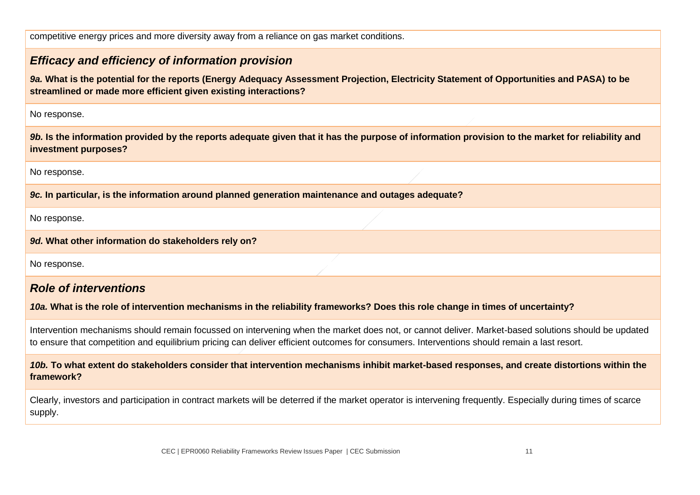competitive energy prices and more diversity away from a reliance on gas market conditions.

# *Efficacy and efficiency of information provision 9a.* **What is the potential for the reports (Energy Adequacy Assessment Projection, Electricity Statement of Opportunities and PASA) to be streamlined or made more efficient given existing interactions?** No response. *9b.* **Is the information provided by the reports adequate given that it has the purpose of information provision to the market for reliability and investment purposes?** No response. *9c.* **In particular, is the information around planned generation maintenance and outages adequate?** No response. *9d.* **What other information do stakeholders rely on?**

No response.

# *Role of interventions*

## *10a.* **What is the role of intervention mechanisms in the reliability frameworks? Does this role change in times of uncertainty?**

Intervention mechanisms should remain focussed on intervening when the market does not, or cannot deliver. Market-based solutions should be updated to ensure that competition and equilibrium pricing can deliver efficient outcomes for consumers. Interventions should remain a last resort.

## *10b.* **To what extent do stakeholders consider that intervention mechanisms inhibit market-based responses, and create distortions within the framework?**

Clearly, investors and participation in contract markets will be deterred if the market operator is intervening frequently. Especially during times of scarce supply.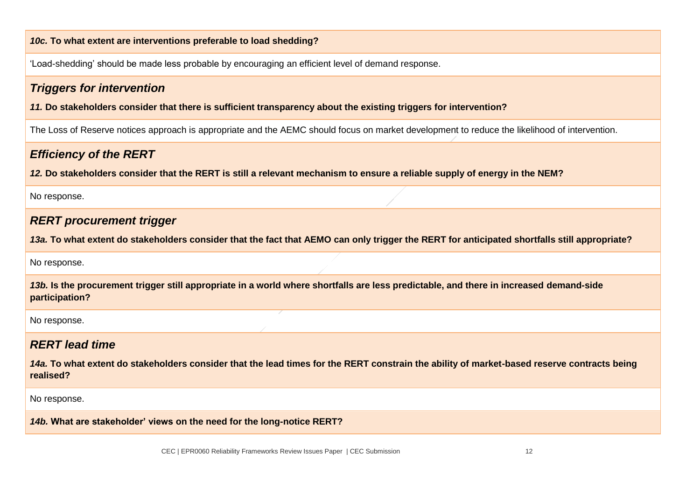#### *10c.* **To what extent are interventions preferable to load shedding?**

'Load-shedding' should be made less probable by encouraging an efficient level of demand response.

## *Triggers for intervention*

*11.* **Do stakeholders consider that there is sufficient transparency about the existing triggers for intervention?**

The Loss of Reserve notices approach is appropriate and the AEMC should focus on market development to reduce the likelihood of intervention.

# *Efficiency of the RERT*

*12.* **Do stakeholders consider that the RERT is still a relevant mechanism to ensure a reliable supply of energy in the NEM?**

No response.

## *RERT procurement trigger*

*13a.* **To what extent do stakeholders consider that the fact that AEMO can only trigger the RERT for anticipated shortfalls still appropriate?**

#### No response.

*13b.* **Is the procurement trigger still appropriate in a world where shortfalls are less predictable, and there in increased demand-side participation?**

No response.

# *RERT lead time*

*14a.* **To what extent do stakeholders consider that the lead times for the RERT constrain the ability of market-based reserve contracts being realised?**

No response.

*14b.* **What are stakeholder' views on the need for the long-notice RERT?**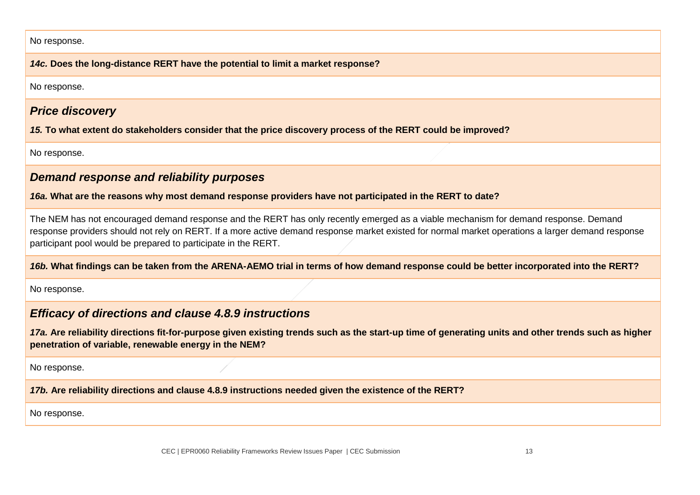No response.

*14c.* **Does the long-distance RERT have the potential to limit a market response?**

No response.

## *Price discovery*

*15.* **To what extent do stakeholders consider that the price discovery process of the RERT could be improved?**

No response.

# *Demand response and reliability purposes*

*16a.* **What are the reasons why most demand response providers have not participated in the RERT to date?**

The NEM has not encouraged demand response and the RERT has only recently emerged as a viable mechanism for demand response. Demand response providers should not rely on RERT. If a more active demand response market existed for normal market operations a larger demand response participant pool would be prepared to participate in the RERT.

*16b.* **What findings can be taken from the ARENA-AEMO trial in terms of how demand response could be better incorporated into the RERT?**

No response.

# *Efficacy of directions and clause 4.8.9 instructions*

*17a.* **Are reliability directions fit-for-purpose given existing trends such as the start-up time of generating units and other trends such as higher penetration of variable, renewable energy in the NEM?**

No response.

*17b.* **Are reliability directions and clause 4.8.9 instructions needed given the existence of the RERT?**

No response.